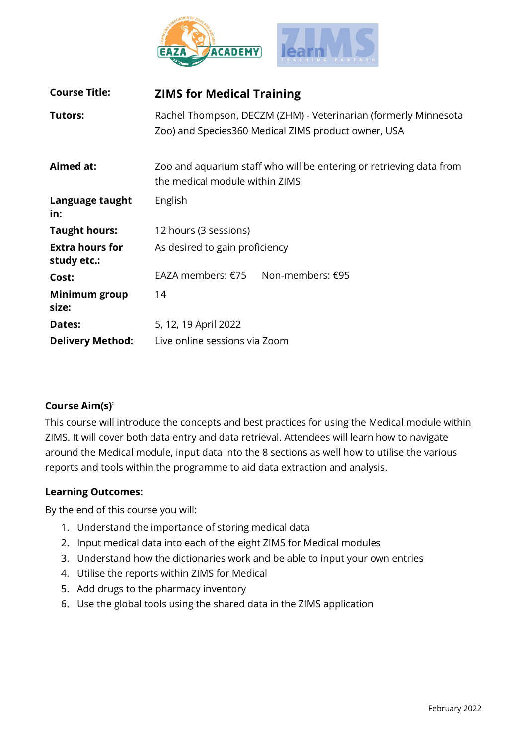

| <b>Course Title:</b>                  | <b>ZIMS for Medical Training</b>                                                                                       |
|---------------------------------------|------------------------------------------------------------------------------------------------------------------------|
| Tutors:                               | Rachel Thompson, DECZM (ZHM) - Veterinarian (formerly Minnesota<br>Zoo) and Species360 Medical ZIMS product owner, USA |
| Aimed at:                             | Zoo and aquarium staff who will be entering or retrieving data from<br>the medical module within ZIMS                  |
| Language taught<br>in:                | English                                                                                                                |
| <b>Taught hours:</b>                  | 12 hours (3 sessions)                                                                                                  |
| <b>Extra hours for</b><br>study etc.: | As desired to gain proficiency                                                                                         |
| Cost:                                 | EAZA members: €75 Non-members: €95                                                                                     |
| Minimum group<br>size:                | 14                                                                                                                     |
| Dates:                                | 5, 12, 19 April 2022                                                                                                   |
| <b>Delivery Method:</b>               | Live online sessions via Zoom                                                                                          |

# **Course Aim(s) :**

This course will introduce the concepts and best practices for using the Medical module within ZIMS. It will cover both data entry and data retrieval. Attendees will learn how to navigate around the Medical module, input data into the 8 sections as well how to utilise the various reports and tools within the programme to aid data extraction and analysis.

# **Learning Outcomes:**

By the end of this course you will:

- 1. Understand the importance of storing medical data
- 2. Input medical data into each of the eight ZIMS for Medical modules
- 3. Understand how the dictionaries work and be able to input your own entries
- 4. Utilise the reports within ZIMS for Medical
- 5. Add drugs to the pharmacy inventory
- 6. Use the global tools using the shared data in the ZIMS application